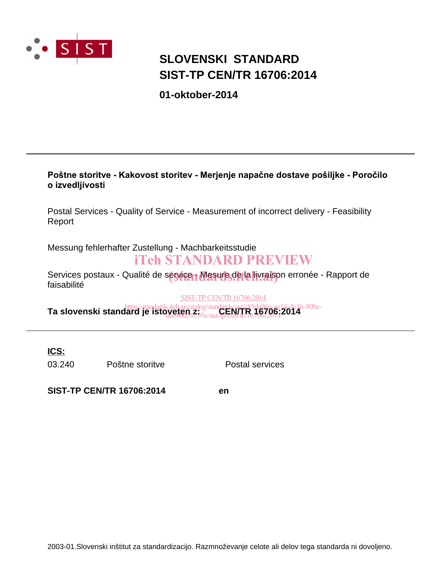

### **SIST-TP CEN/TR 16706:2014 SLOVENSKI STANDARD**

**01-oktober-2014**

### Poštne storitve - Kakovost storitev - Merjenje napačne dostave pošiljke - Poročilo *<u>Dizvedljivosti</u>*

Postal Services - Quality of Service - Measurement of incorrect delivery - Feasibility Report

Messung fehlerhafter Zustellung - Machbarkeitsstudie

### iTeh STANDARD PREVIEW

Services postaux - Qualité de sérvicen Masure de la livraison erronée - Rapport de<br>faisobilité faisabilité

SIST-TP CEN/TR 16706:2014

**Ta slovenski standard je istoveten zi**catalog/standards/sist/c85da96e-ae14-4e16-80be-<br>**Ta slovenski standard je istoveten z**asakist **CEN/TR 16706:2014** da880d59295e/sist-tp-cen-tr-16706-2014

**ICS:**

03.240 Poštne storitve Postal services

**SIST-TP CEN/TR 16706:2014 en**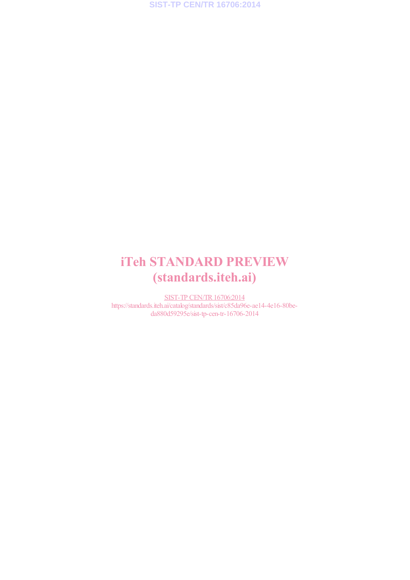## iTeh STANDARD PREVIEW (standards.iteh.ai)

SIST-TP CEN/TR 16706:2014 https://standards.iteh.ai/catalog/standards/sist/c85da96e-ae14-4e16-80beda880d59295e/sist-tp-cen-tr-16706-2014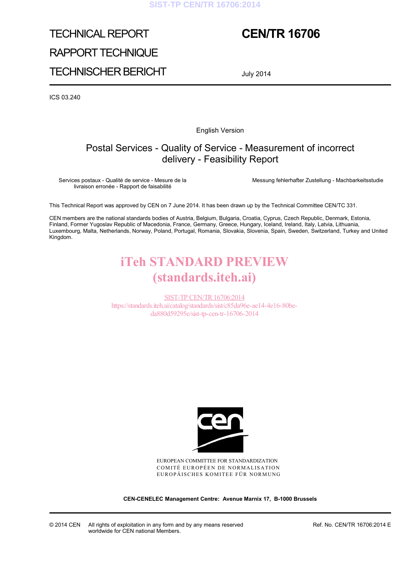#### **SIST-TP CEN/TR 16706:2014**

# TECHNICAL REPORT RAPPORT TECHNIQUE TECHNISCHER BERICHT

### **CEN/TR 16706**

July 2014

ICS 03.240

English Version

### Postal Services - Quality of Service - Measurement of incorrect delivery - Feasibility Report

Services postaux - Qualité de service - Mesure de la livraison erronée - Rapport de faisabilité

Messung fehlerhafter Zustellung - Machbarkeitsstudie

This Technical Report was approved by CEN on 7 June 2014. It has been drawn up by the Technical Committee CEN/TC 331.

CEN members are the national standards bodies of Austria, Belgium, Bulgaria, Croatia, Cyprus, Czech Republic, Denmark, Estonia, Finland, Former Yugoslav Republic of Macedonia, France, Germany, Greece, Hungary, Iceland, Ireland, Italy, Latvia, Lithuania, Luxembourg, Malta, Netherlands, Norway, Poland, Portugal, Romania, Slovakia, Slovenia, Spain, Sweden, Switzerland, Turkey and United Kingdom.

## iTeh STANDARD PREVIEW (standards.iteh.ai)

SIST-TP CEN/TR16706:2014 https://standards.iteh.ai/catalog/standards/sist/c85da96e-ae14-4e16-80beda880d59295e/sist-tp-cen-tr-16706-2014



EUROPEAN COMMITTEE FOR STANDARDIZATION COMITÉ EUROPÉEN DE NORMALISATION EUROPÄISCHES KOMITEE FÜR NORMUNG

**CEN-CENELEC Management Centre: Avenue Marnix 17, B-1000 Brussels** 

© 2014 CEN All rights of exploitation in any form and by any means reserved worldwide for CEN national Members.

Ref. No. CEN/TR 16706:2014 E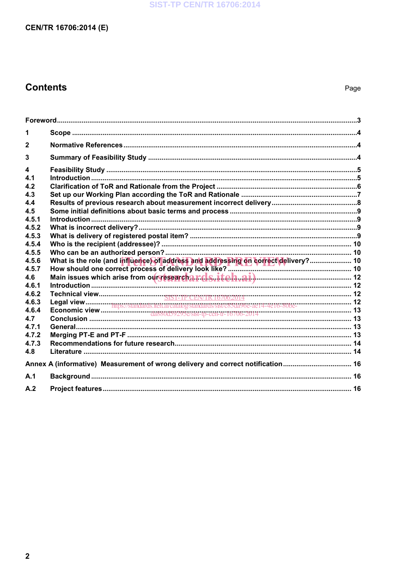### **SIST-TP CEN/TR 16706:2014**

### CEN/TR 16706:2014 (E)

### **Contents**

| 1                                                                               |                                                                                    |  |
|---------------------------------------------------------------------------------|------------------------------------------------------------------------------------|--|
| $\mathbf{2}$                                                                    |                                                                                    |  |
| 3                                                                               |                                                                                    |  |
| 4<br>4.1                                                                        |                                                                                    |  |
| 4.2                                                                             |                                                                                    |  |
| 4.3                                                                             |                                                                                    |  |
| 4.4                                                                             |                                                                                    |  |
| 4.5                                                                             |                                                                                    |  |
| 4.5.1                                                                           |                                                                                    |  |
| 4.5.2<br>4.5.3                                                                  |                                                                                    |  |
| 4.5.4                                                                           |                                                                                    |  |
| 4.5.5                                                                           |                                                                                    |  |
| 4.5.6                                                                           | What is the role (and influence) of address and addressing on correct delivery? 10 |  |
| 4.5.7                                                                           |                                                                                    |  |
| 4.6                                                                             | Main issues which arise from our research a r.d.s. iteh.ai)                        |  |
| 4.6.1<br>4.6.2                                                                  |                                                                                    |  |
| 4.6.3                                                                           |                                                                                    |  |
| 4.6.4                                                                           |                                                                                    |  |
| 4.7                                                                             |                                                                                    |  |
| 4.7.1                                                                           |                                                                                    |  |
| 4.7.2                                                                           |                                                                                    |  |
| 4.7.3                                                                           |                                                                                    |  |
| 4.8                                                                             |                                                                                    |  |
| Annex A (informative) Measurement of wrong delivery and correct notification 16 |                                                                                    |  |
| A.1                                                                             |                                                                                    |  |
| A.2                                                                             |                                                                                    |  |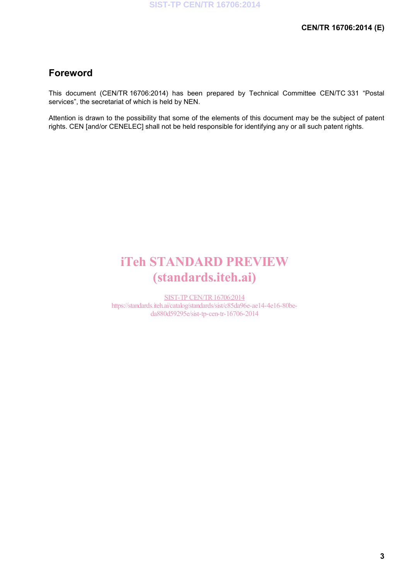### **Foreword**

This document (CEN/TR 16706:2014) has been prepared by Technical Committee CEN/TC 331 "Postal services", the secretariat of which is held by NEN.

Attention is drawn to the possibility that some of the elements of this document may be the subject of patent rights. CEN [and/or CENELEC] shall not be held responsible for identifying any or all such patent rights.

## iTeh STANDARD PREVIEW (standards.iteh.ai)

SIST-TP CEN/TR16706:2014 https://standards.iteh.ai/catalog/standards/sist/c85da96e-ae14-4e16-80beda880d59295e/sist-tp-cen-tr-16706-2014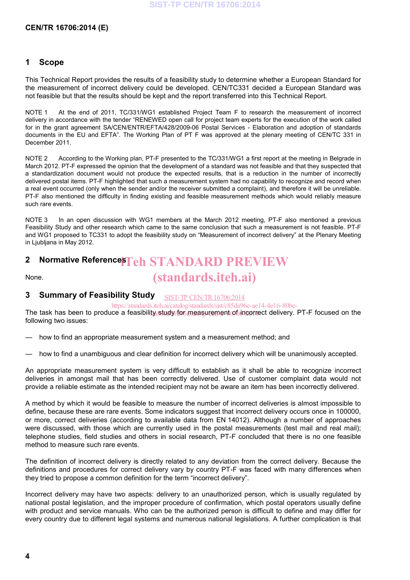#### **CEN/TR 16706:2014 (E)**

#### **1 Scope**

This Technical Report provides the results of a feasibility study to determine whether a European Standard for the measurement of incorrect delivery could be developed. CEN/TC331 decided a European Standard was not feasible but that the results should be kept and the report transferred into this Technical Report.

NOTE 1 At the end of 2011, TC/331/WG1 established Project Team F to research the measurement of incorrect delivery in accordance with the tender "RENEWED open call for project team experts for the execution of the work called for in the grant agreement SA/CEN/ENTR/EFTA/428/2009-06 Postal Services - Elaboration and adoption of standards documents in the EU and EFTA". The Working Plan of PT F was approved at the plenary meeting of CEN/TC 331 in December 2011.

NOTE 2 According to the Working plan, PT-F presented to the TC/331/WG1 a first report at the meeting in Belgrade in March 2012. PT-F expressed the opinion that the development of a standard was not feasible and that they suspected that a standardization document would not produce the expected results, that is a reduction in the number of incorrectly delivered postal items. PT-F highlighted that such a measurement system had no capability to recognize and record when a real event occurred (only when the sender and/or the receiver submitted a complaint), and therefore it will be unreliable. PT-F also mentioned the difficulty in finding existing and feasible measurement methods which would reliably measure such rare events.

NOTE 3 In an open discussion with WG1 members at the March 2012 meeting, PT-F also mentioned a previous Feasibility Study and other research which came to the same conclusion that such a measurement is not feasible. PT-F and WG1 proposed to TC331 to adopt the feasibility study on "Measurement of incorrect delivery" at the Plenary Meeting in Ljubljana in May 2012.

## **2** Normative Reference**s Teh STANDARD PREVIEW**

None.

### (standards.iteh.ai)

#### **3 Summary of Feasibility Study** SIST-TP CEN/TR16706:2014

https://standards.iteh.ai/catalog/standards/sist/c85da96e-ae14-4e16-80be-

The task has been to produce a feasibility study for measurement of incorrect delivery. PT-F focused on the following two issues:

how to find an appropriate measurement system and a measurement method; and

how to find a unambiguous and clear definition for incorrect delivery which will be unanimously accepted.

An appropriate measurement system is very difficult to establish as it shall be able to recognize incorrect deliveries in amongst mail that has been correctly delivered. Use of customer complaint data would not provide a reliable estimate as the intended recipient may not be aware an item has been incorrectly delivered.

A method by which it would be feasible to measure the number of incorrect deliveries is almost impossible to define, because these are rare events. Some indicators suggest that incorrect delivery occurs once in 100000, or more, correct deliveries (according to available data from EN 14012). Although a number of approaches were discussed, with those which are currently used in the postal measurements (test mail and real mail); telephone studies, field studies and others in social research, PT-F concluded that there is no one feasible method to measure such rare events.

The definition of incorrect delivery is directly related to any deviation from the correct delivery. Because the definitions and procedures for correct delivery vary by country PT-F was faced with many differences when they tried to propose a common definition for the term "incorrect delivery".

Incorrect delivery may have two aspects: delivery to an unauthorized person, which is usually regulated by national postal legislation, and the improper procedure of confirmation, which postal operators usually define with product and service manuals. Who can be the authorized person is difficult to define and may differ for every country due to different legal systems and numerous national legislations. A further complication is that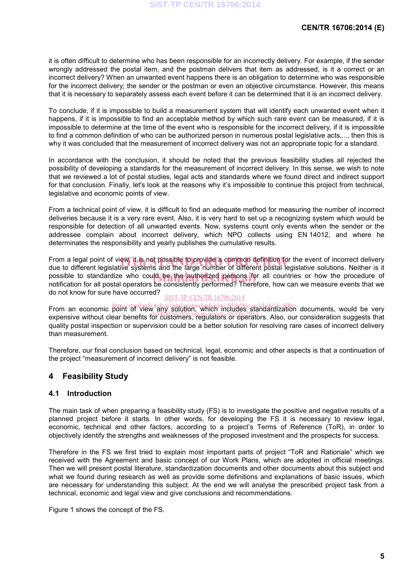it is often difficult to determine who has been responsible for an incorrectly delivery. For example, if the sender wrongly addressed the postal item, and the postman delivers that item as addressed, is it a correct or an incorrect delivery? When an unwanted event happens there is an obligation to determine who was responsible for the incorrect delivery; the sender or the postman or even an objective circumstance. However, this means that it is necessary to separately assess each event before it can be determined that it is an incorrect delivery.

To conclude, if it is impossible to build a measurement system that will identify each unwanted event when it happens, if it is impossible to find an acceptable method by which such rare event can be measured, if it is impossible to determine at the time of the event who is responsible for the incorrect delivery, if it is impossible to find a common definition of who can be authorized person in numerous postal legislative acts,..., then this is why it was concluded that the measurement of incorrect delivery was not an appropriate topic for a standard.

In accordance with the conclusion, it should be noted that the previous feasibility studies all rejected the possibility of developing a standards for the measurement of incorrect delivery. In this sense, we wish to note that we reviewed a lot of postal studies, legal acts and standards where we found direct and indirect support for that conclusion. Finally, let's look at the reasons why it's impossible to continue this project from technical, legislative and economic points of view.

From a technical point of view, it is difficult to find an adequate method for measuring the number of incorrect deliveries because it is a very rare event. Also, it is very hard to set up a recognizing system which would be responsible for detection of all unwanted events. Now, systems count only events when the sender or the addressee complain about incorrect delivery, which NPO collects using EN 14012, and where he determinates the responsibility and yearly publishes the cumulative results.

From a legal point of view, it is not possible to provide a common definition for the event of incorrect delivery<br>due to different legislative systems and the large number of different postal legislative solutions. Neither due to different legislative systems and the large number of different postal legislative solutions. Neither is it possible to standardize who could be the authorized persons for all countries or how the procedure of possible to standardize who could be the authorized persons for all countries or how the procedure of notification for all postal operators be consistently performed? Therefore, how can we measure events that we do not know for sure have occurred?

#### SIST-TP CEN/TR16706:2014

From an economic plins://standards.iteh.ai/catalog/standards/sist/c85da96e-ae1614de16-80b6F documents, would be very expensive without clear benefits for customers, regulators or operators. Also, our consideration suggests that quality postal inspection or supervision could be a better solution for resolving rare cases of incorrect delivery than measurement.

Therefore, our final conclusion based on technical, legal, economic and other aspects is that a continuation of the project "measurement of incorrect delivery" is not feasible.

### **4 Feasibility Study**

### **4.1 Introduction**

The main task of when preparing a feasibility study (FS) is to investigate the positive and negative results of a planned project before it starts. In other words, for developing the FS it is necessary to review legal, economic, technical and other factors, according to a project's Terms of Reference (ToR), in order to objectively identify the strengths and weaknesses of the proposed investment and the prospects for success.

Therefore in the FS we first tried to explain most important parts of project "ToR and Rationale" which we received with the Agreement and basic concept of our Work Plans, which are adopted in official meetings. Then we will present postal literature, standardization documents and other documents about this subject and what we found during research as well as provide some definitions and explanations of basic issues, which are necessary for understanding this subject. At the end we will analyse the prescribed project task from a technical, economic and legal view and give conclusions and recommendations.

Figure 1 shows the concept of the FS.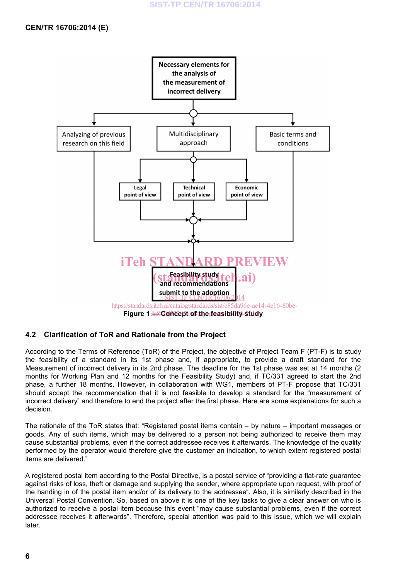

### **4.2 Clarification of ToR and Rationale from the Project**

According to the Terms of Reference (ToR) of the Project, the objective of Project Team F (PT-F) is to study the feasibility of a standard in its 1st phase and, if appropriate, to provide a draft standard for the Measurement of incorrect delivery in its 2nd phase. The deadline for the 1st phase was set at 14 months (2 months for Working Plan and 12 months for the Feasibility Study) and, if TC/331 agreed to start the 2nd phase, a further 18 months. However, in collaboration with WG1, members of PT-F propose that TC/331 should accept the recommendation that it is not feasible to develop a standard for the "measurement of incorrect delivery" and therefore to end the project after the first phase. Here are some explanations for such a decision.

The rationale of the ToR states that: "Registered postal items contain – by nature – important messages or goods. Any of such items, which may be delivered to a person not being authorized to receive them may cause substantial problems, even if the correct addressee receives it afterwards. The knowledge of the quality performed by the operator would therefore give the customer an indication, to which extent registered postal items are delivered."

A registered postal item according to the Postal Directive, is a postal service of "providing a flat-rate guarantee against risks of loss, theft or damage and supplying the sender, where appropriate upon request, with proof of the handing in of the postal item and/or of its delivery to the addressee". Also, it is similarly described in the Universal Postal Convention. So, based on above it is one of the key tasks to give a clear answer on who is authorized to receive a postal item because this event "may cause substantial problems, even if the correct addressee receives it afterwards". Therefore, special attention was paid to this issue, which we will explain later.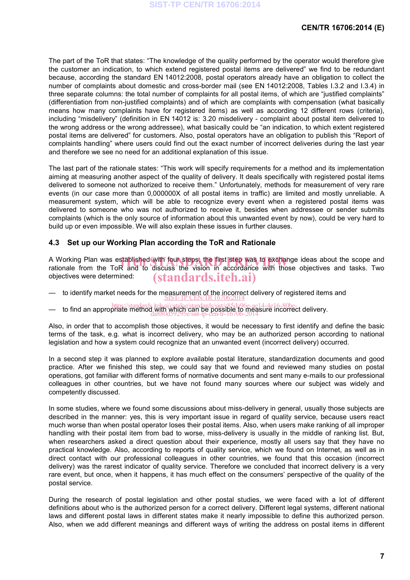The part of the ToR that states: "The knowledge of the quality performed by the operator would therefore give the customer an indication, to which extend registered postal items are delivered" we find to be redundant because, according the standard EN 14012:2008, postal operators already have an obligation to collect the number of complaints about domestic and cross-border mail (see EN 14012:2008, Tables I.3.2 and I.3.4) in three separate columns: the total number of complaints for all postal items, of which are "justified complaints" (differentiation from non-justified complaints) and of which are complaints with compensation (what basically means how many complaints have for registered items) as well as according 12 different rows (criteria), including "misdelivery" (definition in EN 14012 is: 3.20 misdelivery - complaint about postal item delivered to the wrong address or the wrong addressee), what basically could be "an indication, to which extent registered postal items are delivered" for customers. Also, postal operators have an obligation to publish this "Report of complaints handling" where users could find out the exact number of incorrect deliveries during the last year and therefore we see no need for an additional explanation of this issue.

The last part of the rationale states: "This work will specify requirements for a method and its implementation aiming at measuring another aspect of the quality of delivery. It deals specifically with registered postal items delivered to someone not authorized to receive them." Unfortunately, methods for measurement of very rare events (in our case more than 0,000000X of all postal items in traffic) are limited and mostly unreliable. A measurement system, which will be able to recognize every event when a registered postal items was delivered to someone who was not authorized to receive it, besides when addressee or sender submits complaints (which is the only source of information about this unwanted event by now), could be very hard to build up or even impossible. We will also explain these issues in further clauses.

#### **4.3 Set up our Working Plan according the ToR and Rationale**

A Working Plan was established with four steps; the first step was to exchange ideas about the scope and<br>rationale from the ToR and to discuss the vision in accordance with those objectives and tasks. Two rationale from the ToR and to discuss the vision in accordance with those objectives and tasks. Two objectives were determined: (standards.iteh.ai)

- to identify market needs for the measurement of the incorrect delivery of registered items and<br>SIST-TP CEN/TR 16706:2014
- to find an appropriate method with ai/catalog/standards/sist/c85da96e-ae14-4e16-80be-ct delivery. da880d59295e/sist-tp-cen-tr-16706-2014

Also, in order that to accomplish those objectives, it would be necessary to first identify and define the basic terms of the task, e.g. what is incorrect delivery, who may be an authorized person according to national legislation and how a system could recognize that an unwanted event (incorrect delivery) occurred.

In a second step it was planned to explore available postal literature, standardization documents and good practice. After we finished this step, we could say that we found and reviewed many studies on postal operations, got familiar with different forms of normative documents and sent many e-mails to our professional colleagues in other countries, but we have not found many sources where our subject was widely and competently discussed.

In some studies, where we found some discussions about miss-delivery in general, usually those subjects are described in the manner: yes, this is very important issue in regard of quality service, because users react much worse than when postal operator loses their postal items. Also, when users make ranking of all improper handling with their postal item from bad to worse, miss-delivery is usually in the middle of ranking list. But, when researchers asked a direct question about their experience, mostly all users say that they have no practical knowledge. Also, according to reports of quality service, which we found on Internet, as well as in direct contact with our professional colleagues in other countries, we found that this occasion (incorrect delivery) was the rarest indicator of quality service. Therefore we concluded that incorrect delivery is a very rare event, but once, when it happens, it has much effect on the consumers' perspective of the quality of the postal service.

During the research of postal legislation and other postal studies, we were faced with a lot of different definitions about who is the authorized person for a correct delivery. Different legal systems, different national laws and different postal laws in different states make it nearly impossible to define this authorized person. Also, when we add different meanings and different ways of writing the address on postal items in different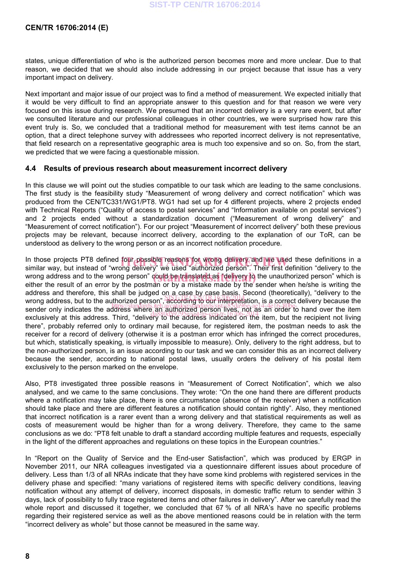#### **CEN/TR 16706:2014 (E)**

states, unique differentiation of who is the authorized person becomes more and more unclear. Due to that reason, we decided that we should also include addressing in our project because that issue has a very important impact on delivery.

Next important and major issue of our project was to find a method of measurement. We expected initially that it would be very difficult to find an appropriate answer to this question and for that reason we were very focused on this issue during research. We presumed that an incorrect delivery is a very rare event, but after we consulted literature and our professional colleagues in other countries, we were surprised how rare this event truly is. So, we concluded that a traditional method for measurement with test items cannot be an option, that a direct telephone survey with addressees who reported incorrect delivery is not representative, that field research on a representative geographic area is much too expensive and so on. So, from the start, we predicted that we were facing a questionable mission.

#### **4.4 Results of previous research about measurement incorrect delivery**

In this clause we will point out the studies compatible to our task which are leading to the same conclusions. The first study is the feasibility study "Measurement of wrong delivery and correct notification" which was produced from the CEN/TC331/WG1/PT8. WG1 had set up for 4 different projects, where 2 projects ended with Technical Reports ("Quality of access to postal services" and "Information available on postal services") and 2 projects ended without a standardization document ("Measurement of wrong delivery" and "Measurement of correct notification"). For our project "Measurement of incorrect delivery" both these previous projects may be relevant, because incorrect delivery, according to the explanation of our ToR, can be understood as delivery to the wrong person or as an incorrect notification procedure.

In those projects PT8 defined four possible reasons for wrong delivery and we used these definitions in a<br>similar way, but instead of "wrong delivery" we used "authorized person". Their first definition "delivery to the similar way, but instead of "wrong delivery" we used "authorized person". Their first definition "delivery to the wrong address and to the wrong person" could be translated as "delivery to the unauthorized person" which is either the result of an error by the postman or by a mistake made by the sender when he/she is writing the either the result of an error by the postman or by a mistake made by the sender when he/she is writing the address and therefore, this shall be judged on a case by case basis. Second (theoretically), "delivery to the address and therefore, this shall be judged on a case, by easy pass, become (theoretically), delivery to the interpretation, is a correct delivery because the wong address, but to the address where, an authorized person lives, not as a polyce delivery because the<br>sender only indicates the address where, an authorized person lives, not as an order to hand over the item exclusively at this address. Third, "delivery to the address indicated on the item, but the recipient not living there", probably referred only to ordinary mail because, for registered item, the postman needs to ask the receiver for a record of delivery (otherwise it is a postman error which has infringed the correct procedures, but which, statistically speaking, is virtually impossible to measure). Only, delivery to the right address, but to the non-authorized person, is an issue according to our task and we can consider this as an incorrect delivery because the sender, according to national postal laws, usually orders the delivery of his postal item exclusively to the person marked on the envelope.

Also, PT8 investigated three possible reasons in "Measurement of Correct Notification", which we also analysed, and we came to the same conclusions. They wrote: "On the one hand there are different products where a notification may take place, there is one circumstance (absence of the receiver) when a notification should take place and there are different features a notification should contain rightly". Also, they mentioned that incorrect notification is a rarer event than a wrong delivery and that statistical requirements as well as costs of measurement would be higher than for a wrong delivery. Therefore, they came to the same conclusions as we do: "PT8 felt unable to draft a standard according multiple features and requests, especially in the light of the different approaches and regulations on these topics in the European countries."

In "Report on the Quality of Service and the End-user Satisfaction", which was produced by ERGP in November 2011, our NRA colleagues investigated via a questionnaire different issues about procedure of delivery. Less than 1/3 of all NRAs indicate that they have some kind problems with registered services in the delivery phase and specified: "many variations of registered items with specific delivery conditions, leaving notification without any attempt of delivery, incorrect disposals, in domestic traffic return to sender within 3 days, lack of possibility to fully trace registered items and other failures in delivery". After we carefully read the whole report and discussed it together, we concluded that 67 % of all NRA's have no specific problems regarding their registered service as well as the above mentioned reasons could be in relation with the term "incorrect delivery as whole" but those cannot be measured in the same way.